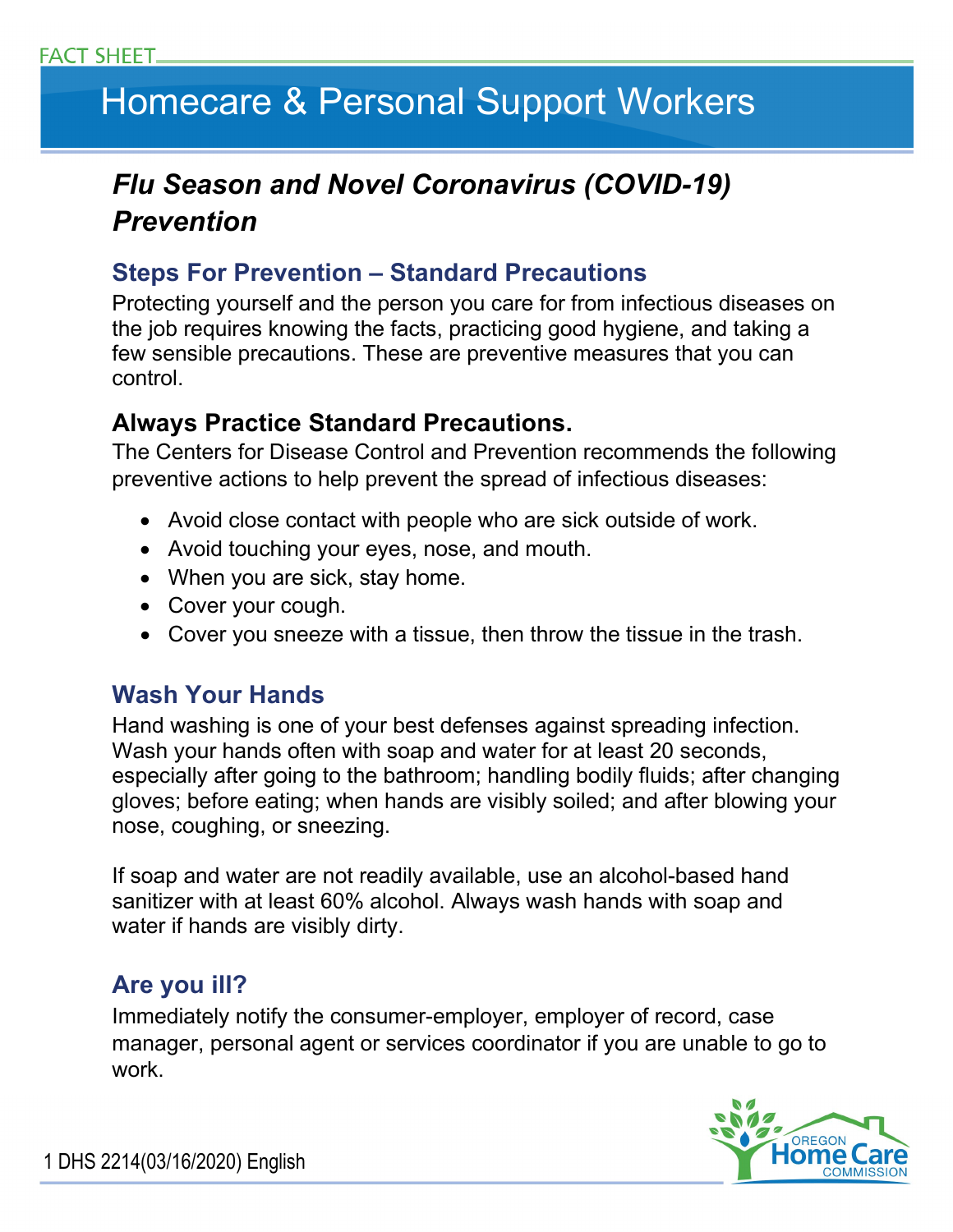# Homecare & Personal Support Workers

# *Flu Season and Novel Coronavirus (COVID-19)* **Prevention**

## **Steps For Prevention – Standard Precautions**

Protecting yourself and the person you care for from infectious diseases on the job requires knowing the facts, practicing good hygiene, and taking a few sensible precautions. These are preventive measures that you can control.

### **Always Practice Standard Precautions.**

The Centers for Disease Control and Prevention recommends the following preventive actions to help prevent the spread of infectious diseases:

- Avoid close contact with people who are sick outside of work.
- Avoid touching your eyes, nose, and mouth.
- When you are sick, stay home.
- Cover your cough.
- Cover you sneeze with a tissue, then throw the tissue in the trash.

## **Wash Your Hands**

Hand washing is one of your best defenses against spreading infection. Wash your hands often with soap and water for at least 20 seconds, especially after going to the bathroom; handling bodily fluids; after changing gloves; before eating; when hands are visibly soiled; and after blowing your nose, coughing, or sneezing.

If soap and water are not readily available, use an alcohol-based hand sanitizer with at least 60% alcohol. Always wash hands with soap and water if hands are visibly dirty.

## **Are you ill?**

Immediately notify the consumer-employer, employer of record, case manager, personal agent or services coordinator if you are unable to go to work.